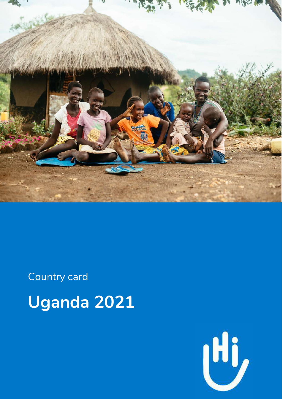

Country card **Uganda 2021**

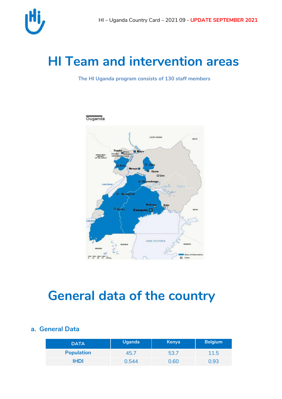

# **HI Team and intervention areas**

**The HI Uganda program consists of 130 staff members**



## **General data of the country**

### **a. General Data**

| <b>DATA</b>       | Uganda <sup>1</sup> | <b>Kenya</b> | <b>Belgium</b> |
|-------------------|---------------------|--------------|----------------|
| <b>Population</b> | 45.7                | 53.7         | 11.5           |
| <b>IHDI</b>       | 0.544               | 0.60         | 0.93           |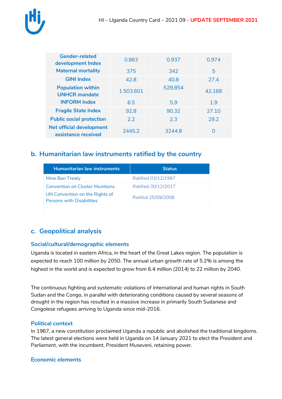

| <b>Gender-related</b><br>development Index             | 0.863     | 0.937   | 0.974  |
|--------------------------------------------------------|-----------|---------|--------|
| <b>Maternal mortality</b>                              | 375       | 342     | 5      |
| <b>GINI Index</b>                                      | 42.8      | 40.8    | 27.4   |
| <b>Population within</b><br><b>UNHCR</b> mandate       | 1.503.601 | 529,854 | 42,168 |
| <b>INFORM Index</b>                                    | 6.5       | 5.9     | 1.9    |
| <b>Fragile State Index</b>                             | 92.8      | 90.32   | 27.10  |
| <b>Public social protection</b>                        | 2.2       | 2.3     | 29.2   |
| <b>Net official development</b><br>assistance received | 2445.2    | 3244.8  | Ω      |

### **b. Humanitarian law instruments ratified by the country**

| <b>Humanitarian law instruments</b>                                | <b>Status</b>       |
|--------------------------------------------------------------------|---------------------|
| Mine Ban Treaty                                                    | Ratified 03/12/1997 |
| <b>Convention on Cluster Munitions</b>                             | Ratified 30/12/2017 |
| UN Convention on the Rights of<br><b>Persons with Disabilities</b> | Ratifed 25/09/2008  |
|                                                                    |                     |

### **c. Geopolitical analysis**

#### **Social/cultural/demographic elements**

Uganda is located in eastern [Africa,](https://en.wikipedia.org/wiki/Africa) in the heart of the [Great Lakes](https://en.wikipedia.org/wiki/Great_Lakes_(Africa)) region. The population is expected to reach 100 million by 2050. The annual urban growth rate of 5.2% is among the highest in the world and is expected to grow from 6.4 million (2014) to 22 million by 2040.

The continuous fighting and systematic violations of international and human rights in South Sudan and the Congo, in parallel with deteriorating conditions caused by several seasons of drought in the region has resulted in a massive increase in primarily South Sudanese and Congolese refugees arriving to Uganda since mid-2016.

#### **Political context**

In 1967, a new constitution proclaimed Uganda a republic and abolished the traditional kingdoms. The latest general elections were held in Uganda on 14 January 2021 to elect the President and Parliament, with the incumbent, President Museveni, retaining power.

#### **Economic elements**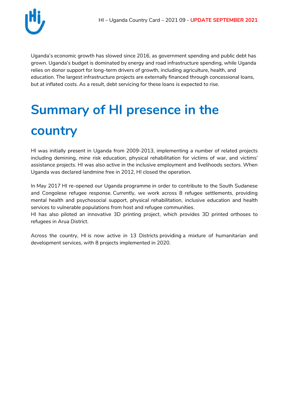

Uganda's economic growth has slowed since 2016, as government spending and public debt has grown. Uganda's budget is dominated by energy and road infrastructure spending, while Uganda relies on donor support for long-term drivers of growth, including agriculture, health, and education. The largest infrastructure projects are externally financed through concessional loans, but at inflated costs. As a result, debt servicing for these loans is expected to rise.

# **Summary of HI presence in the country**

HI was initially present in Uganda from 2009-2013, implementing a number of related projects including demining, mine risk education, physical rehabilitation for victims of war, and victims' assistance projects. HI was also active in the inclusive employment and livelihoods sectors. When Uganda was declared landmine free in 2012, HI closed the operation.

In May 2017 HI re-opened our Uganda programme in order to contribute to the South Sudanese and Congolese refugee response. Currently, we work across 8 refugee settlements, providing mental health and psychosocial support, physical rehabilitation, inclusive education and health services to vulnerable populations from host and refugee communities.

HI has also piloted an innovative 3D printing project, which provides 3D printed orthoses to refugees in Arua District.

Across the country, HI is now active in 13 Districts providing a mixture of humanitarian and development services, with 8 projects implemented in 2020.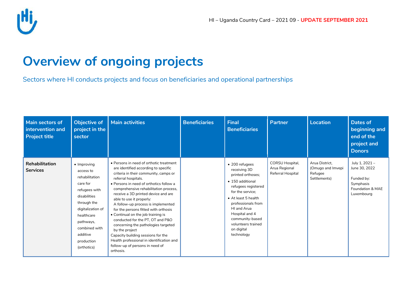

# **Overview of ongoing projects**

Sectors where HI conducts projects and focus on beneficiaries and operational partnerships

| Main sectors of<br>intervention and<br><b>Project title</b> | <b>Objective of</b><br>project in the<br>sector                                                                                                                                                                          | <b>Main activities</b>                                                                                                                                                                                                                                                                                                                                                                                                                                                                                                                                                                                                                                     | <b>Beneficiaries</b> | <b>Final</b><br><b>Beneficiaries</b>                                                                                                                                                                                                                                  | <b>Partner</b>                                        | <b>Location</b>                                                | <b>Dates of</b><br>beginning and<br>end of the<br>project and<br><b>Donors</b>               |
|-------------------------------------------------------------|--------------------------------------------------------------------------------------------------------------------------------------------------------------------------------------------------------------------------|------------------------------------------------------------------------------------------------------------------------------------------------------------------------------------------------------------------------------------------------------------------------------------------------------------------------------------------------------------------------------------------------------------------------------------------------------------------------------------------------------------------------------------------------------------------------------------------------------------------------------------------------------------|----------------------|-----------------------------------------------------------------------------------------------------------------------------------------------------------------------------------------------------------------------------------------------------------------------|-------------------------------------------------------|----------------------------------------------------------------|----------------------------------------------------------------------------------------------|
| Rehabilitation<br><b>Services</b>                           | $\bullet$ Improving<br>access to<br>rehabilitation<br>care for<br>refugees with<br>disabilities<br>through the<br>digitalization of<br>healthcare<br>pathways,<br>combined with<br>additive<br>production<br>(orthotics) | • Persons in need of orthotic treatment<br>are identified according to specific<br>criteria in their community, camps or<br>referral hospitals.<br>• Persons in need of orthotics follow a<br>comprehensive rehabilitation process,<br>receive a 3D printed device and are<br>able to use it properly:<br>A follow-up process is implemented<br>for the persons fitted with orthosis<br>• Continual on the job training is<br>conducted for the PT, OT and P&O<br>concerning the pathologies targeted<br>by the project<br>Capacity building sessions for the<br>Health professional in identification and<br>follow-up of persons in need of<br>orthosis. |                      | • 200 refugees<br>receiving 3D<br>printed orthoses;<br>• 150 additional<br>refugees registered<br>for the service:<br>• At least 5 health<br>professionals from<br>HI and Arua<br>Hospital and 4<br>community-based<br>volunteers trained<br>on digital<br>technology | CORSU Hospital,<br>Arua Regional<br>Referral Hospital | Arua District.<br>(Omugo and Imvepi<br>Refugee<br>Settlements) | July 1, 2021 -<br>June 30, 2022<br>Funded by:<br>Symphasis<br>Foundation & MAE<br>Luxembourg |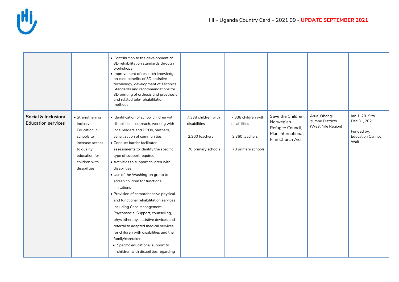|                                                  |                                                                                                                                                      | • Contribution to the development of<br>3D rehabilitation standards through<br>workshops<br>· Improvement of research knowledge<br>on cost-benefits of 3D assistive<br>technology, development of Technical<br>Standards and recommendations for<br>3D printing of orthosis and prosthesis<br>and related tele-rehabilitation<br>methods                                                                                                                                                                                                                                                                                                                                                                                                                                                       |                                                                             |                                                                             |                                                                                                |                                                               |                                                                                 |
|--------------------------------------------------|------------------------------------------------------------------------------------------------------------------------------------------------------|------------------------------------------------------------------------------------------------------------------------------------------------------------------------------------------------------------------------------------------------------------------------------------------------------------------------------------------------------------------------------------------------------------------------------------------------------------------------------------------------------------------------------------------------------------------------------------------------------------------------------------------------------------------------------------------------------------------------------------------------------------------------------------------------|-----------------------------------------------------------------------------|-----------------------------------------------------------------------------|------------------------------------------------------------------------------------------------|---------------------------------------------------------------|---------------------------------------------------------------------------------|
| Social & Inclusion/<br><b>Education services</b> | • Strengthening<br>Inclusive<br><b>Education in</b><br>schools to<br>increase access<br>to quality<br>education for<br>children with<br>disabilities | · Identification of school children with<br>disabilities - outreach, working with<br>local leaders and DPOs, partners,<br>sensitization of communities<br>• Conduct barrier facilitator<br>assessments to identify the specific<br>type of support required<br>• Activities to support children with<br>disabilities:<br>• Use of the Washington group to<br>screen children for functional<br>limitations<br>• Provision of comprehensive physical<br>and functional rehabilitation services<br>including Case Management,<br>Psychosocial Support, counselling,<br>physiotherapy, assistive devices and<br>referral to adapted medical services<br>for children with disabilities and their<br>family/caretaker<br>• Specific educational support to<br>children with disabilities regarding | 7,338 children with<br>disabilities<br>2,360 teachers<br>70 primary schools | 7,338 children with<br>disabilities<br>2,360 teachers<br>70 primary schools | Save the Children,<br>Norwegian<br>Refugee Council,<br>Plan International,<br>Finn Church Aid, | Arua, Obongi,<br><b>Yumbe Districts</b><br>(West Nile Region) | Jan 1, 2019 to<br>Dec 31, 2021<br>Funded by:<br><b>Education Cannot</b><br>Wait |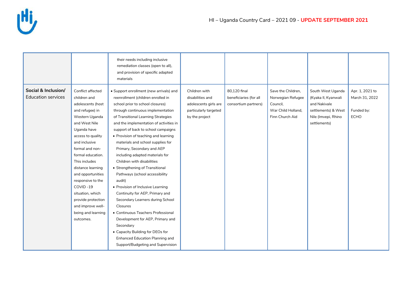

|                                                  |                                                                                                                                                                                                                                                                                                                                                                                                         | their needs including inclusive<br>remediation classes (open to all),<br>and provision of specific adapted<br>materials                                                                                                                                                                                                                                                                                                                                                                                                                                                                                                                                                                                                                                                                                                                                                      |                                                                                                       |                                                                |                                                                                              |                                                                                                                        |                                                                |
|--------------------------------------------------|---------------------------------------------------------------------------------------------------------------------------------------------------------------------------------------------------------------------------------------------------------------------------------------------------------------------------------------------------------------------------------------------------------|------------------------------------------------------------------------------------------------------------------------------------------------------------------------------------------------------------------------------------------------------------------------------------------------------------------------------------------------------------------------------------------------------------------------------------------------------------------------------------------------------------------------------------------------------------------------------------------------------------------------------------------------------------------------------------------------------------------------------------------------------------------------------------------------------------------------------------------------------------------------------|-------------------------------------------------------------------------------------------------------|----------------------------------------------------------------|----------------------------------------------------------------------------------------------|------------------------------------------------------------------------------------------------------------------------|----------------------------------------------------------------|
| Social & Inclusion/<br><b>Education services</b> | Conflict affected<br>children and<br>adolescents (host<br>and refugee) in<br>Western Uganda<br>and West Nile<br>Uganda have<br>access to quality<br>and inclusive<br>formal and non-<br>formal education.<br>This includes<br>distance learning<br>and opportunities<br>responsive to the<br>COVID-19<br>situation, which<br>provide protection<br>and improve well-<br>being and learning<br>outcomes. | • Support enrollment (new arrivals) and<br>reenrollment (children enrolled in<br>school prior to school closures)<br>through continuous implementation<br>of Transitional Learning Strategies<br>and the implementation of activities in<br>support of back to school campaigns<br>• Provision of teaching and learning<br>materials and school supplies for<br>Primary, Secondary and AEP<br>including adapted materials for<br>Children with disabilities<br>• Strengthening of Transitional<br>Pathways (school accessibility<br>audit)<br>• Provision of Inclusive Learning<br>Continuity for AEP, Primary and<br>Secondary Learners during School<br>Closures<br>• Continuous Teachers Professional<br>Development for AEP, Primary and<br>Secondary<br>• Capacity Building for DEOs for<br><b>Enhanced Education Planning and</b><br>Support/Budgeting and Supervision | Children with<br>disabilities and<br>adolescents girls are<br>particularly targeted<br>by the project | 80.120 final<br>beneficiaries (for all<br>consortium partners) | Save the Children,<br>Norwegian Refugee<br>Council,<br>War Child Holland.<br>Finn Church Aid | South West Uganda<br>(Kyaka II, Kyanwali<br>and Nakivale<br>settlements) & West<br>Nile (Imvepi, Rhino<br>settlements) | Apr. 1, 2021 to<br>March 31, 2022<br>Funded by:<br><b>ECHO</b> |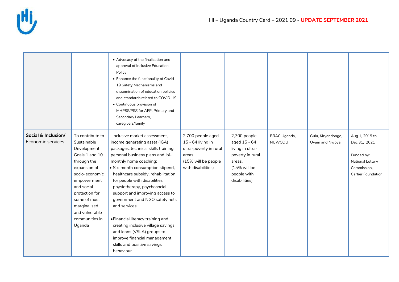

|                                          |                                                                                                                                                                                                                                                | • Advocacy of the finalization and<br>approval of Inclusive Education<br>Policy<br>• Enhance the functionality of Covid<br>19 Safety Mechanisms and<br>dissemination of education policies<br>and standards related to COVID-19<br>• Continuous provision of<br>MHPSS/PSS for AEP, Primary and<br>Secondary Learners,<br>caregivers/family                                                                                                                                                                                                                                               |                                                                                                                        |                                                                                                                                |                               |                                      |                                                                                                              |
|------------------------------------------|------------------------------------------------------------------------------------------------------------------------------------------------------------------------------------------------------------------------------------------------|------------------------------------------------------------------------------------------------------------------------------------------------------------------------------------------------------------------------------------------------------------------------------------------------------------------------------------------------------------------------------------------------------------------------------------------------------------------------------------------------------------------------------------------------------------------------------------------|------------------------------------------------------------------------------------------------------------------------|--------------------------------------------------------------------------------------------------------------------------------|-------------------------------|--------------------------------------|--------------------------------------------------------------------------------------------------------------|
| Social & Inclusion/<br>Economic services | To contribute to<br>Sustainable<br>Development<br>Goals 1 and 10<br>through the<br>expansion of<br>socio-economic<br>empowerment<br>and social<br>protection for<br>some of most<br>marginalised<br>and vulnerable<br>communities in<br>Uganda | -Inclusive market assessment,<br>income generating asset (IGA)<br>packages; technical skills training;<br>personal business plans and; bi-<br>monthly home coaching;<br>· Six-month consumption stipend,<br>healthcare subsidy, rehabilitation<br>for people with disabilities,<br>physiotherapy, psychosocial<br>support and improving access to<br>government and NGO safety nets<br>and services<br>· Financial literacy training and<br>creating inclusive village savings<br>and loans (VSLA) groups to<br>improve financial management<br>skills and positive savings<br>behaviour | 2,700 people aged<br>15 - 64 living in<br>ultra-poverty in rural<br>areas<br>(15% will be people<br>with disabilities) | 2,700 people<br>aged 15 - 64<br>living in ultra-<br>poverty in rural<br>areas.<br>(15% will be<br>people with<br>disabilities) | <b>BRAC Uganda,</b><br>NUWODU | Gulu, Kiryandongo,<br>Oyam and Nwoya | Aug 1, 2019 to<br>Dec 31, 2021<br>Funded by:<br>National Lottery<br>Commission,<br><b>Cartier Foundation</b> |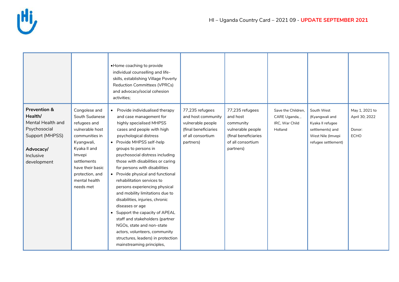

|                                                                                                                                     |                                                                                                                                                                                                                  | • Home coaching to provide<br>individual counselling and life-<br>skills, establishing Village Poverty<br><b>Reduction Committees (VPRCs)</b><br>and advocacy/social cohesion<br>activities;                                                                                                                                                                                                                                                                                                                                                                                                                                                                                                                      |                                                                                                                      |                                                                                                                         |                                                                  |                                                                                                                  |                                                           |
|-------------------------------------------------------------------------------------------------------------------------------------|------------------------------------------------------------------------------------------------------------------------------------------------------------------------------------------------------------------|-------------------------------------------------------------------------------------------------------------------------------------------------------------------------------------------------------------------------------------------------------------------------------------------------------------------------------------------------------------------------------------------------------------------------------------------------------------------------------------------------------------------------------------------------------------------------------------------------------------------------------------------------------------------------------------------------------------------|----------------------------------------------------------------------------------------------------------------------|-------------------------------------------------------------------------------------------------------------------------|------------------------------------------------------------------|------------------------------------------------------------------------------------------------------------------|-----------------------------------------------------------|
| <b>Prevention &amp;</b><br>Health/<br>Mental Health and<br>Psychosocial<br>Support (MHPSS)<br>Advocacy/<br>Inclusive<br>development | Congolese and<br>South Sudanese<br>refugees and<br>vulnerable host<br>communities in<br>Kyangwali,<br>Kyaka II and<br>Imvepi<br>settlements<br>have their basic<br>protection, and<br>mental health<br>needs met | • Provide individualised therapy<br>and case management for<br>highly specialised MHPSS<br>cases and people with high<br>psychological distress<br>• Provide MHPSS self-help<br>groups to persons in<br>psychosocial distress including<br>those with disabilities or caring<br>for persons with disabilities<br>• Provide physical and functional<br>rehabilitation services to<br>persons experiencing physical<br>and mobility limitations due to<br>disabilities, injuries, chronic<br>diseases or age<br>• Support the capacity of APEAL<br>staff and stakeholders (partner<br>NGOs, state and non-state<br>actors, volunteers, community<br>structures, leaders) in protection<br>mainstreaming principles, | 77,235 refugees<br>and host community<br>vulnerable people<br>(final beneficiaries<br>of all consortium<br>partners) | 77,235 refugees<br>and host<br>community<br>vulnerable people<br>(final beneficiaries<br>of all consortium<br>partners) | Save the Children,<br>CARE Uganda,,<br>IRC, War Child<br>Holland | South West<br>(Kyangwali and<br>Kyaka II refugee<br>settlements) and<br>West Nile (Imvepi<br>refugee settlement) | May 1, 2021 to<br>April 30; 2022<br>Donor:<br><b>ECHO</b> |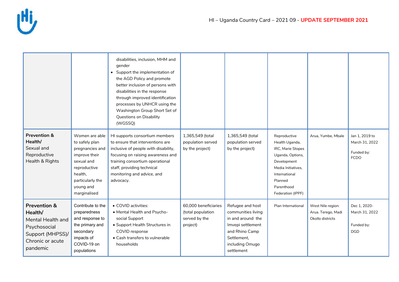

|                                                                                                                             |                                                                                                                                                                | disabilities, inclusion, MHM and<br>gender<br>• Support the implementation of<br>the AGD Policy and promote<br>better inclusion of persons with<br>disabilities in the response<br>through improved identification<br>processes by UNHCR using the<br>Washington Group Short Set of<br>Questions on Disability<br>(WGSSQ) |                                                                        |                                                                                                                                                    |                                                                                                                                                                             |                                                             |                                                               |
|-----------------------------------------------------------------------------------------------------------------------------|----------------------------------------------------------------------------------------------------------------------------------------------------------------|---------------------------------------------------------------------------------------------------------------------------------------------------------------------------------------------------------------------------------------------------------------------------------------------------------------------------|------------------------------------------------------------------------|----------------------------------------------------------------------------------------------------------------------------------------------------|-----------------------------------------------------------------------------------------------------------------------------------------------------------------------------|-------------------------------------------------------------|---------------------------------------------------------------|
| <b>Prevention &amp;</b><br>Health/<br>Sexual and<br>Reproductive<br>Health & Rights                                         | Women are able<br>to safely plan<br>pregnancies and<br>improve their<br>sexual and<br>reproductive<br>health,<br>particularly the<br>young and<br>marginalised | HI supports consortium members<br>to ensure that interventions are<br>inclusive of people with disability,<br>focusing on raising awareness and<br>training consortium operational<br>staff, providing technical<br>monitoring and advice, and<br>advocacy.                                                               | 1,365,549 (total<br>population served<br>by the project)               | 1,365,549 (total<br>population served<br>by the project)                                                                                           | Reproductive<br>Health Uganda,<br>IRC, Marie Stopes<br>Uganda, Options,<br>Development<br>Media Initiatives,<br>International<br>Planned<br>Parenthood<br>Federation (IPPF) | Arua, Yumbe, Mbale                                          | Jan 1, 2019 to<br>March 31, 2022<br>Funded by:<br><b>FCDO</b> |
| <b>Prevention &amp;</b><br>Health/<br>Mental Health and<br>Psychosocial<br>Support (MHPSS)/<br>Chronic or acute<br>pandemic | Contribute to the<br>preparedness<br>and response to<br>the primary and<br>secondary<br>impacts of<br>COVID-19 on<br>populations                               | • COVID activities:<br>• Mental Health and Psycho-<br>social Support<br>• Support Health Structures in<br>COVID response<br>• Cash transfers to vulnerable<br>households                                                                                                                                                  | 60,000 beneficiaries<br>(total population<br>served by the<br>project) | Refugee and host<br>communities living<br>in and around the<br>Imvepi settlement<br>and Rhino Camp<br>Settlement,<br>including Omugo<br>settlement | Plan International                                                                                                                                                          | West Nile region:<br>Arua. Terego, Madi<br>Okollo districts | Dec 1, 2020-<br>March 31, 2022<br>Funded by:<br><b>DGD</b>    |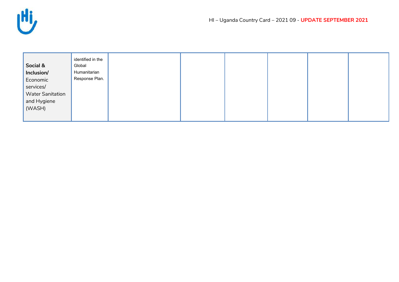

| identified in the<br>Social &<br>Global<br>Inclusion/<br>Humanitarian<br>Response Plan.<br>Economic<br>services/<br><b>Water Sanitation</b><br>and Hygiene<br>(WASH) |
|----------------------------------------------------------------------------------------------------------------------------------------------------------------------|
|----------------------------------------------------------------------------------------------------------------------------------------------------------------------|